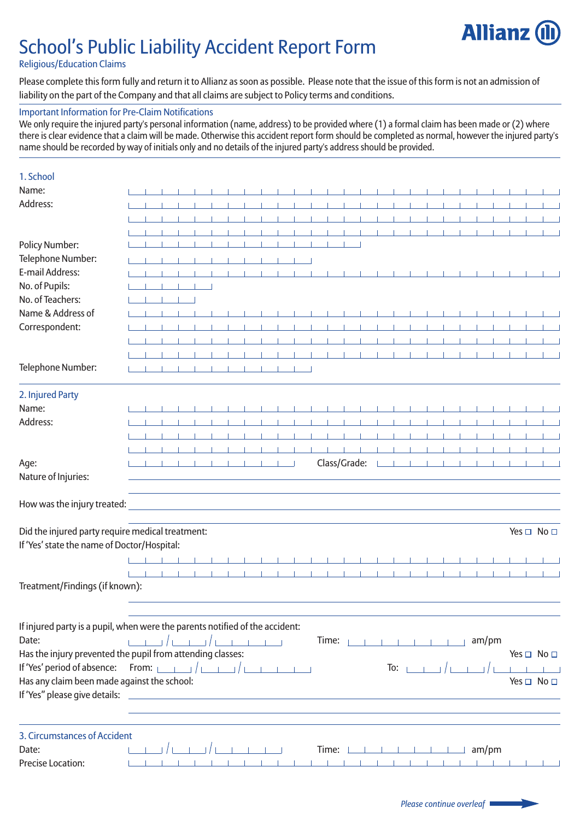# School's Public Liability Accident Report Form



## Religious/Education Claims

Please complete this form fully and return it to Allianz as soon as possible. Please note that the issue of this form is not an admission of liability on the part of the Company and that all claims are subject to Policy terms and conditions.

## Important Information for Pre-Claim Notifications

We only require the injured party's personal information (name, address) to be provided where (1) a formal claim has been made or (2) where there is clear evidence that a claim will be made. Otherwise this accident report form should be completed as normal, however the injured party's name should be recorded by way of initials only and no details of the injured party's address should be provided.

| 1. School                                                                    |  |    |  |  |                  |              |           |              |  |                                      |     |  |                 |  |           |  |                            |
|------------------------------------------------------------------------------|--|----|--|--|------------------|--------------|-----------|--------------|--|--------------------------------------|-----|--|-----------------|--|-----------|--|----------------------------|
| Name:                                                                        |  |    |  |  |                  |              |           |              |  |                                      |     |  |                 |  |           |  |                            |
| Address:                                                                     |  |    |  |  |                  |              |           |              |  |                                      |     |  |                 |  |           |  |                            |
|                                                                              |  |    |  |  |                  |              |           |              |  |                                      |     |  |                 |  |           |  |                            |
|                                                                              |  |    |  |  |                  |              |           |              |  |                                      |     |  |                 |  |           |  |                            |
| <b>Policy Number:</b>                                                        |  |    |  |  |                  |              |           |              |  |                                      |     |  |                 |  |           |  |                            |
| Telephone Number:                                                            |  |    |  |  | $-1 - 1 - 1 - 1$ |              |           |              |  |                                      |     |  |                 |  |           |  |                            |
| E-mail Address:                                                              |  |    |  |  |                  |              |           |              |  |                                      |     |  |                 |  |           |  |                            |
| No. of Pupils:                                                               |  |    |  |  |                  |              |           |              |  |                                      |     |  |                 |  |           |  |                            |
| No. of Teachers:                                                             |  | Т. |  |  |                  |              |           |              |  |                                      |     |  |                 |  |           |  |                            |
| Name & Address of                                                            |  |    |  |  |                  |              |           |              |  |                                      |     |  |                 |  |           |  |                            |
| Correspondent:                                                               |  |    |  |  |                  |              |           |              |  |                                      |     |  |                 |  |           |  |                            |
|                                                                              |  |    |  |  |                  |              |           |              |  |                                      |     |  |                 |  | - 1       |  |                            |
|                                                                              |  |    |  |  |                  |              |           |              |  |                                      |     |  |                 |  |           |  |                            |
| Telephone Number:                                                            |  |    |  |  |                  |              |           |              |  |                                      |     |  |                 |  |           |  |                            |
| 2. Injured Party                                                             |  |    |  |  |                  |              |           |              |  |                                      |     |  |                 |  |           |  |                            |
| Name:                                                                        |  |    |  |  |                  |              |           |              |  |                                      |     |  |                 |  |           |  |                            |
| Address:                                                                     |  |    |  |  |                  |              |           |              |  |                                      |     |  |                 |  |           |  |                            |
|                                                                              |  |    |  |  |                  |              |           |              |  |                                      |     |  |                 |  |           |  |                            |
|                                                                              |  |    |  |  |                  |              |           |              |  |                                      |     |  |                 |  |           |  |                            |
| Age:                                                                         |  |    |  |  |                  |              |           | Class/Grade: |  |                                      |     |  |                 |  |           |  |                            |
| Nature of Injuries:                                                          |  |    |  |  |                  |              |           |              |  |                                      |     |  |                 |  |           |  |                            |
| How was the injury treated:                                                  |  |    |  |  |                  |              |           |              |  |                                      |     |  |                 |  |           |  |                            |
| Did the injured party require medical treatment:                             |  |    |  |  |                  |              |           |              |  |                                      |     |  |                 |  |           |  | Yes $\Box$ No $\Box$       |
| If 'Yes' state the name of Doctor/Hospital:                                  |  |    |  |  |                  |              |           |              |  |                                      |     |  |                 |  |           |  |                            |
|                                                                              |  |    |  |  |                  |              |           |              |  |                                      |     |  |                 |  |           |  |                            |
|                                                                              |  |    |  |  |                  |              | $\sim$ 1. |              |  |                                      |     |  | <b>Contract</b> |  | $\sim$ 11 |  |                            |
| Treatment/Findings (if known):                                               |  |    |  |  |                  |              |           |              |  |                                      |     |  |                 |  |           |  |                            |
| If injured party is a pupil, when were the parents notified of the accident: |  |    |  |  |                  |              |           |              |  |                                      |     |  |                 |  |           |  |                            |
| Date:                                                                        |  |    |  |  |                  |              |           |              |  | <b>Time:</b> $1 \t1 \t1 \t1 \t1 \t1$ |     |  |                 |  | am/pm     |  |                            |
| Has the injury prevented the pupil from attending classes:                   |  |    |  |  |                  |              |           |              |  |                                      |     |  |                 |  |           |  | Yes $\square$ No $\square$ |
|                                                                              |  |    |  |  |                  |              |           |              |  |                                      | To: |  |                 |  |           |  |                            |
| Has any claim been made against the school:                                  |  |    |  |  |                  |              |           |              |  |                                      |     |  |                 |  |           |  | Yes □ No □                 |
| If 'Yes" please give details:                                                |  |    |  |  |                  |              |           |              |  |                                      |     |  |                 |  |           |  |                            |
|                                                                              |  |    |  |  |                  |              |           |              |  |                                      |     |  |                 |  |           |  |                            |
| 3. Circumstances of Accident                                                 |  |    |  |  |                  |              |           |              |  |                                      |     |  |                 |  |           |  |                            |
| Date:                                                                        |  |    |  |  |                  |              |           |              |  |                                      |     |  |                 |  |           |  |                            |
| <b>Precise Location:</b>                                                     |  |    |  |  |                  |              |           |              |  |                                      |     |  |                 |  |           |  |                            |
|                                                                              |  |    |  |  |                  | $-1 - 1 - 1$ |           |              |  |                                      |     |  |                 |  |           |  |                            |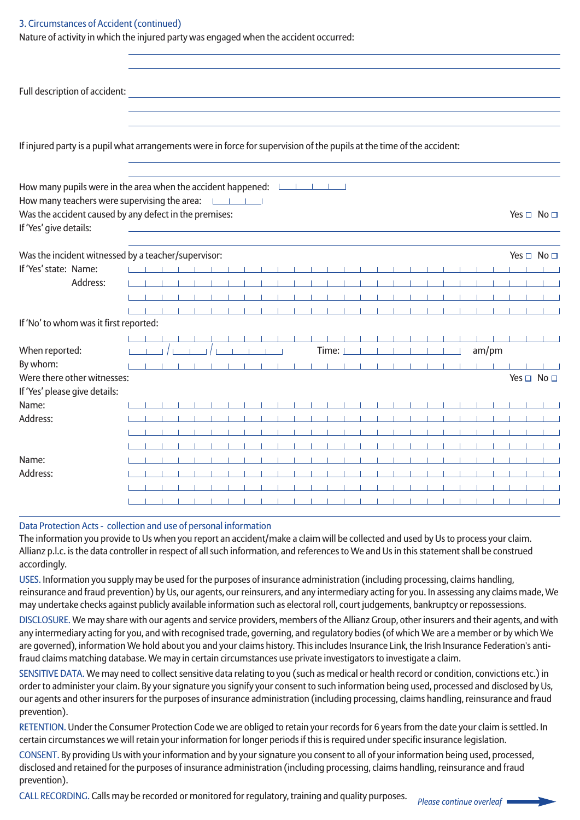### 3. Circumstances of Accident (continued)

Nature of activity in which the injured party was engaged when the accident occurred:

| Full description of accident:                                                                                                      |  |                                                                                                                        |  |  |  |                   |  |                   |          |                          |          |  |           |   |                            |
|------------------------------------------------------------------------------------------------------------------------------------|--|------------------------------------------------------------------------------------------------------------------------|--|--|--|-------------------|--|-------------------|----------|--------------------------|----------|--|-----------|---|----------------------------|
| If injured party is a pupil what arrangements were in force for supervision of the pupils at the time of the accident:             |  |                                                                                                                        |  |  |  |                   |  |                   |          |                          |          |  |           |   |                            |
| How many pupils were in the area when the accident happened:<br><br>How many teachers were supervising the area: Latin Latin Links |  |                                                                                                                        |  |  |  |                   |  |                   |          |                          |          |  |           |   |                            |
| Was the accident caused by any defect in the premises:<br>If 'Yes' give details:                                                   |  | <u> 1989 - Johann Barn, mars ann an t-Amhain ann an t-Amhain an t-Amhain an t-Amhain an t-Amhain an t-Amhain an t-</u> |  |  |  |                   |  |                   |          |                          |          |  |           |   | Yes $\Box$ No $\Box$       |
| Was the incident witnessed by a teacher/supervisor:                                                                                |  |                                                                                                                        |  |  |  |                   |  |                   |          |                          |          |  |           |   | Yes $\Box$ No $\Box$       |
| If 'Yes' state: Name:                                                                                                              |  |                                                                                                                        |  |  |  |                   |  |                   |          |                          |          |  |           |   |                            |
| Address:                                                                                                                           |  |                                                                                                                        |  |  |  |                   |  |                   |          |                          |          |  |           |   |                            |
|                                                                                                                                    |  | $\sim$ 1                                                                                                               |  |  |  |                   |  | <b>Contractor</b> |          | <b>Contract Contract</b> |          |  | $\sim$ 10 |   |                            |
|                                                                                                                                    |  |                                                                                                                        |  |  |  |                   |  |                   |          |                          |          |  |           |   |                            |
| If 'No' to whom was it first reported:                                                                                             |  |                                                                                                                        |  |  |  |                   |  |                   |          |                          |          |  |           |   |                            |
|                                                                                                                                    |  |                                                                                                                        |  |  |  |                   |  |                   |          |                          |          |  |           |   |                            |
| When reported:                                                                                                                     |  |                                                                                                                        |  |  |  | Time: $\mathbf 1$ |  |                   | $\sim$ 1 |                          | $-1 - 1$ |  | am/pm     |   |                            |
| By whom:                                                                                                                           |  |                                                                                                                        |  |  |  |                   |  |                   |          |                          |          |  | $\sim$ 10 |   |                            |
| Were there other witnesses:                                                                                                        |  |                                                                                                                        |  |  |  |                   |  |                   |          |                          |          |  |           |   | Yes $\square$ No $\square$ |
| If 'Yes' please give details:                                                                                                      |  |                                                                                                                        |  |  |  |                   |  |                   |          |                          |          |  |           |   |                            |
| Name:                                                                                                                              |  |                                                                                                                        |  |  |  |                   |  |                   |          |                          |          |  |           | . |                            |
| Address:                                                                                                                           |  |                                                                                                                        |  |  |  |                   |  |                   |          |                          |          |  |           |   |                            |
|                                                                                                                                    |  |                                                                                                                        |  |  |  |                   |  |                   |          |                          |          |  |           |   |                            |
|                                                                                                                                    |  |                                                                                                                        |  |  |  |                   |  |                   |          |                          |          |  |           |   |                            |
| Name:                                                                                                                              |  |                                                                                                                        |  |  |  |                   |  |                   |          |                          |          |  |           |   |                            |
| Address:                                                                                                                           |  |                                                                                                                        |  |  |  |                   |  |                   |          |                          |          |  |           |   |                            |
|                                                                                                                                    |  |                                                                                                                        |  |  |  |                   |  |                   |          |                          |          |  |           |   |                            |
|                                                                                                                                    |  |                                                                                                                        |  |  |  |                   |  |                   |          |                          |          |  |           |   |                            |

## Data Protection Acts - collection and use of personal information

The information you provide to Us when you report an accident/make a claim will be collected and used by Us to process your claim. Allianz p.l.c. is the data controller in respect of all such information, and references to We and Us in this statement shall be construed accordingly.

USES. Information you supply may be used for the purposes of insurance administration (including processing, claims handling, reinsurance and fraud prevention) by Us, our agents, our reinsurers, and any intermediary acting for you. In assessing any claims made, We may undertake checks against publicly available information such as electoral roll, court judgements, bankruptcy or repossessions.

DISCLOSURE. We may share with our agents and service providers, members of the Allianz Group, other insurers and their agents, and with any intermediary acting for you, and with recognised trade, governing, and regulatory bodies (of which We are a member or by which We are governed), information We hold about you and your claims history. This includes Insurance Link, the Irish Insurance Federation's antifraud claims matching database. We may in certain circumstances use private investigators to investigate a claim.

SENSITIVE DATA. We may need to collect sensitive data relating to you (such as medical or health record or condition, convictions etc.) in order to administer your claim. By your signature you signify your consent to such information being used, processed and disclosed by Us, our agents and other insurers for the purposes of insurance administration (including processing, claims handling, reinsurance and fraud prevention).

RETENTION. Under the Consumer Protection Code we are obliged to retain your records for 6 years from the date your claim is settled. In certain circumstances we will retain your information for longer periods if this is required under specific insurance legislation.

CONSENT. By providing Us with your information and by your signature you consent to all of your information being used, processed, disclosed and retained for the purposes of insurance administration (including processing, claims handling, reinsurance and fraud prevention).

CALL RECORDING. Calls may be recorded or monitored for regulatory, training and quality purposes. *Please continue overleaf*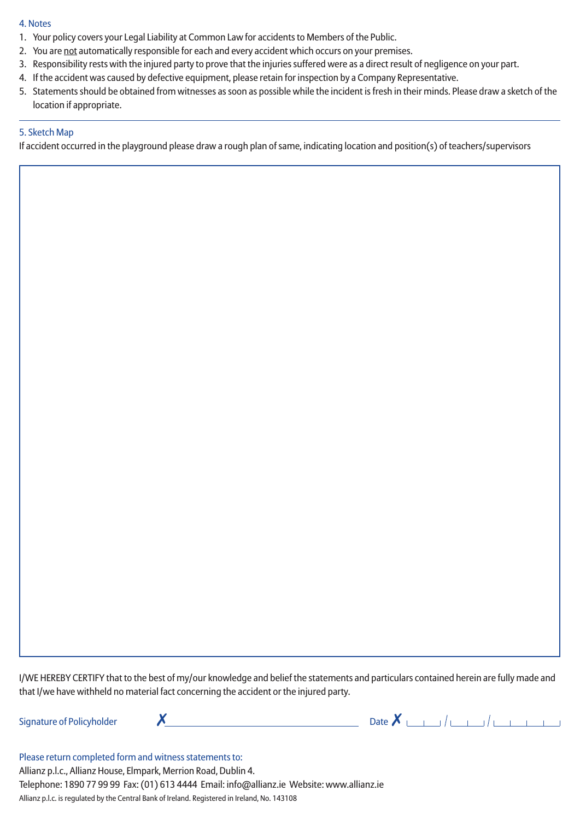#### 4. Notes

- 1. Your policy covers your Legal Liability at Common Law for accidents to Members of the Public.
- 2. You are not automatically responsible for each and every accident which occurs on your premises.
- 3. Responsibility rests with the injured party to prove that the injuries suffered were as a direct result of negligence on your part.
- 4. If the accident was caused by defective equipment, please retain for inspection by a Company Representative.
- 5. Statements should be obtained from witnesses as soon as possible while the incident is fresh in their minds. Please draw a sketch of the location if appropriate.

### 5. Sketch Map

If accident occurred in the playground please draw a rough plan of same, indicating location and position(s) of teachers/supervisors

I/WE HEREBY CERTIFY that to the best of my/our knowledge and belief the statements and particulars contained herein are fully made and that I/we have withheld no material fact concerning the accident or the injured party.



Please return completed form and witness statements to: Allianz p.l.c., Allianz House, Elmpark, Merrion Road, Dublin 4. Telephone: 1890 77 99 99 Fax: (01) 613 4444 Email: info@allianz.ie Website: www.allianz.ie Allianz p.l.c. is regulated by the Central Bank of Ireland. Registered in Ireland, No. 143108